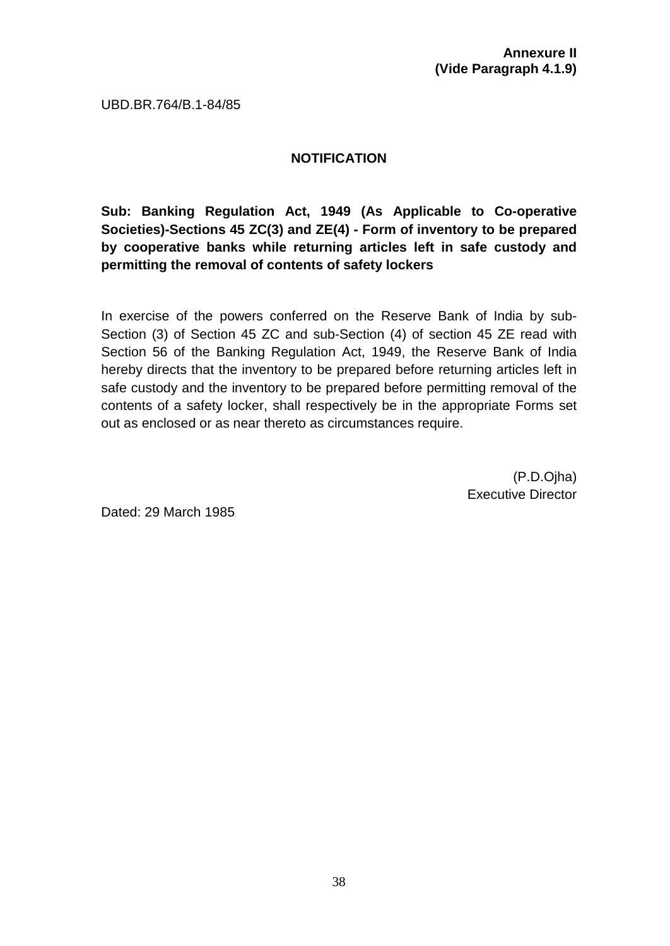UBD.BR.764/B.1-84/85

## **NOTIFICATION**

**Sub: Banking Regulation Act, 1949 (As Applicable to Co-operative Societies)-Sections 45 ZC(3) and ZE(4) - Form of inventory to be prepared by cooperative banks while returning articles left in safe custody and permitting the removal of contents of safety lockers**

In exercise of the powers conferred on the Reserve Bank of India by sub-Section (3) of Section 45 ZC and sub-Section (4) of section 45 ZE read with Section 56 of the Banking Regulation Act, 1949, the Reserve Bank of India hereby directs that the inventory to be prepared before returning articles left in safe custody and the inventory to be prepared before permitting removal of the contents of a safety locker, shall respectively be in the appropriate Forms set out as enclosed or as near thereto as circumstances require.

> (P.D.Ojha) Executive Director

Dated: 29 March 1985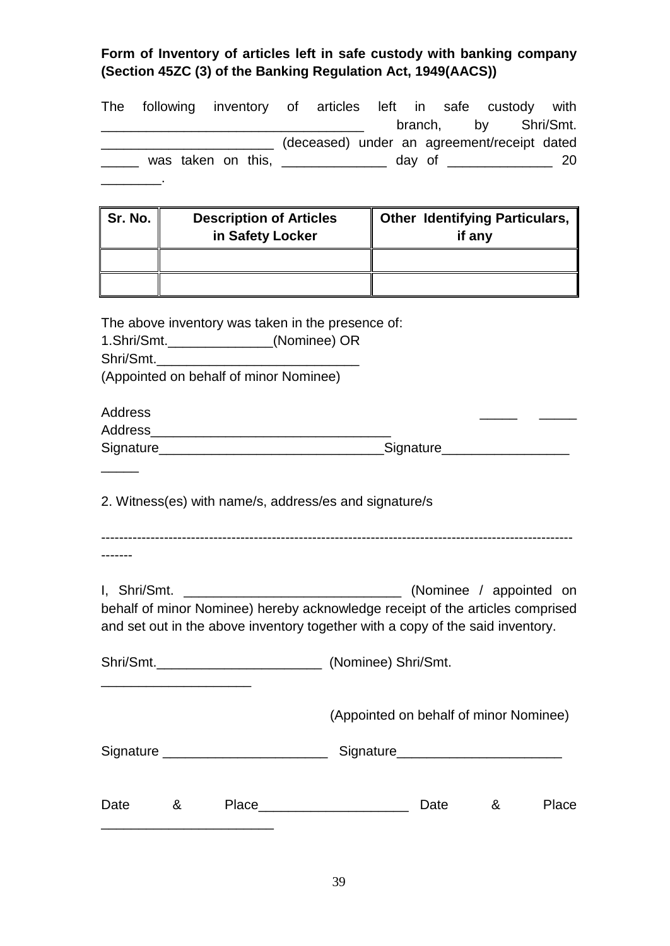## **Form of Inventory of articles left in safe custody with banking company (Section 45ZC (3) of the Banking Regulation Act, 1949(AACS))**

| The                                                                                                                                                             |   | following inventory of articles left in safe custody with                                                                                              |  |  |  |                                       |      |        |   | branch, by Shri/Smt.                  |
|-----------------------------------------------------------------------------------------------------------------------------------------------------------------|---|--------------------------------------------------------------------------------------------------------------------------------------------------------|--|--|--|---------------------------------------|------|--------|---|---------------------------------------|
|                                                                                                                                                                 |   | (deceased) under an agreement/receipt dated                                                                                                            |  |  |  |                                       |      |        |   |                                       |
|                                                                                                                                                                 |   | ______ was taken on this, _______________ day of ______________ 20                                                                                     |  |  |  |                                       |      |        |   |                                       |
|                                                                                                                                                                 |   |                                                                                                                                                        |  |  |  |                                       |      |        |   |                                       |
|                                                                                                                                                                 |   |                                                                                                                                                        |  |  |  |                                       |      |        |   |                                       |
| Sr. No. $\parallel$                                                                                                                                             |   | <b>Description of Articles</b>                                                                                                                         |  |  |  |                                       |      |        |   | <b>Other Identifying Particulars,</b> |
|                                                                                                                                                                 |   | in Safety Locker                                                                                                                                       |  |  |  |                                       |      | if any |   |                                       |
|                                                                                                                                                                 |   |                                                                                                                                                        |  |  |  |                                       |      |        |   |                                       |
|                                                                                                                                                                 |   |                                                                                                                                                        |  |  |  |                                       |      |        |   |                                       |
|                                                                                                                                                                 |   |                                                                                                                                                        |  |  |  |                                       |      |        |   |                                       |
|                                                                                                                                                                 |   | The above inventory was taken in the presence of:                                                                                                      |  |  |  |                                       |      |        |   |                                       |
| Shri/Smt.                                                                                                                                                       |   | 1.Shri/Smt._______________(Nominee) OR                                                                                                                 |  |  |  |                                       |      |        |   |                                       |
|                                                                                                                                                                 |   | (Appointed on behalf of minor Nominee)                                                                                                                 |  |  |  |                                       |      |        |   |                                       |
|                                                                                                                                                                 |   |                                                                                                                                                        |  |  |  |                                       |      |        |   |                                       |
| <b>Address</b>                                                                                                                                                  |   |                                                                                                                                                        |  |  |  |                                       |      |        |   |                                       |
|                                                                                                                                                                 |   |                                                                                                                                                        |  |  |  |                                       |      |        |   |                                       |
|                                                                                                                                                                 |   |                                                                                                                                                        |  |  |  |                                       |      |        |   |                                       |
| 2. Witness(es) with name/s, address/es and signature/s                                                                                                          |   |                                                                                                                                                        |  |  |  |                                       |      |        |   |                                       |
|                                                                                                                                                                 |   |                                                                                                                                                        |  |  |  |                                       |      |        |   |                                       |
| I, Shri/Smt.<br>(Nominee / appointed on                                                                                                                         |   |                                                                                                                                                        |  |  |  |                                       |      |        |   |                                       |
| behalf of minor Nominee) hereby acknowledge receipt of the articles comprised<br>and set out in the above inventory together with a copy of the said inventory. |   |                                                                                                                                                        |  |  |  |                                       |      |        |   |                                       |
|                                                                                                                                                                 |   |                                                                                                                                                        |  |  |  |                                       |      |        |   |                                       |
| (Appointed on behalf of minor Nominee)                                                                                                                          |   |                                                                                                                                                        |  |  |  |                                       |      |        |   |                                       |
|                                                                                                                                                                 |   | Signature _________________________                                                                                                                    |  |  |  | Signature____________________________ |      |        |   |                                       |
|                                                                                                                                                                 |   |                                                                                                                                                        |  |  |  |                                       |      |        |   |                                       |
| Date                                                                                                                                                            | & | Place_________________________<br><u> 1989 - Johann John Stone, markin film yn y brenin y brenin y brenin y brenin y brenin y brenin y brenin y br</u> |  |  |  |                                       | Date |        | & | Place                                 |
|                                                                                                                                                                 |   |                                                                                                                                                        |  |  |  |                                       |      |        |   |                                       |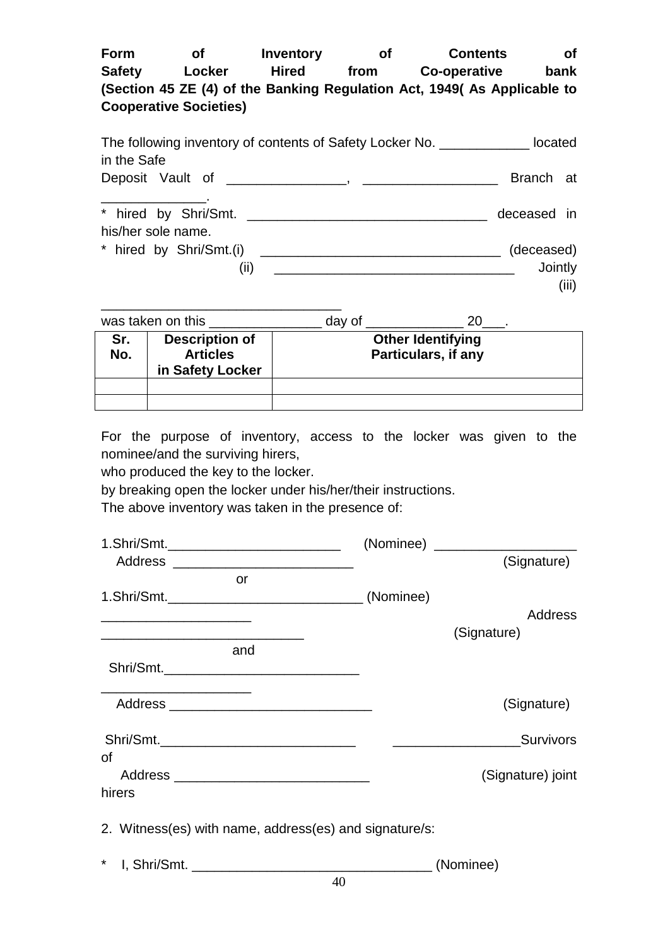| Form          | Οf                            | Inventory    | Οf   | <b>Contents</b>                                                          | οf   |
|---------------|-------------------------------|--------------|------|--------------------------------------------------------------------------|------|
| <b>Safety</b> | Locker                        | <b>Hired</b> | from | Co-operative                                                             | bank |
|               |                               |              |      | (Section 45 ZE (4) of the Banking Regulation Act, 1949( As Applicable to |      |
|               | <b>Cooperative Societies)</b> |              |      |                                                                          |      |
|               |                               |              |      |                                                                          |      |

| The following inventory of contents of Safety Locker No. | located     |       |  |
|----------------------------------------------------------|-------------|-------|--|
| in the Safe                                              |             |       |  |
| Deposit Vault of _______________, _____________          | Branch at   |       |  |
|                                                          |             |       |  |
|                                                          | deceased in |       |  |
| his/her sole name.                                       |             |       |  |
| * hired by Shri/Smt.(i)                                  | (deceased)  |       |  |
| (ii)                                                     | Jointly     |       |  |
|                                                          |             | (iii) |  |

| was taken on this |                                                              | day of |                                                        |  |  |
|-------------------|--------------------------------------------------------------|--------|--------------------------------------------------------|--|--|
| Sr.<br>No.        | <b>Description of</b><br><b>Articles</b><br>in Safety Locker |        | <b>Other Identifying</b><br><b>Particulars, if any</b> |  |  |
|                   |                                                              |        |                                                        |  |  |

For the purpose of inventory, access to the locker was given to the nominee/and the surviving hirers,

who produced the key to the locker.

by breaking open the locker under his/her/their instructions.

The above inventory was taken in the presence of:

| 1.Shri/Smt._______________________________                                                                            | (Nominee) ________________________ |
|-----------------------------------------------------------------------------------------------------------------------|------------------------------------|
|                                                                                                                       | (Signature)                        |
| or                                                                                                                    |                                    |
|                                                                                                                       |                                    |
|                                                                                                                       | <b>Address</b>                     |
| <u> 1989 - Johann Stoff, deutscher Stoff, der Stoff, der Stoff, der Stoff, der Stoff, der Stoff, der Stoff, der S</u> | (Signature)                        |
| and                                                                                                                   |                                    |
|                                                                                                                       |                                    |
|                                                                                                                       |                                    |
|                                                                                                                       | (Signature)                        |
| Shri/Smt.__________________________________                                                                           | <b>Survivors Survivors</b>         |
| 0f                                                                                                                    |                                    |
| Address __________________________________                                                                            | (Signature) joint                  |
| hirers                                                                                                                |                                    |
| 2. Witness(es) with name, address(es) and signature/s:                                                                |                                    |
| $\star$                                                                                                               | (Nominee)                          |